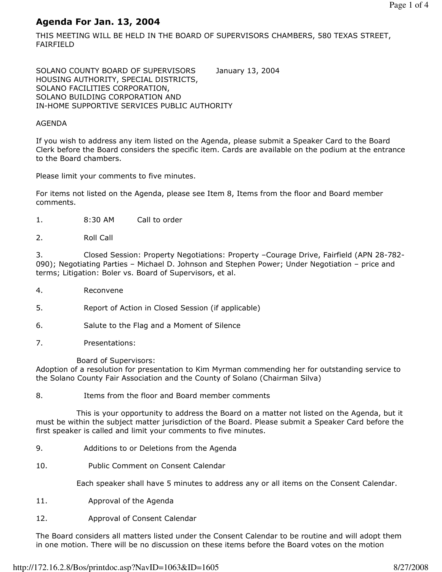# Agenda For Jan. 13, 2004

THIS MEETING WILL BE HELD IN THE BOARD OF SUPERVISORS CHAMBERS, 580 TEXAS STREET, FAIRFIELD

SOLANO COUNTY BOARD OF SUPERVISORS January 13, 2004 HOUSING AUTHORITY, SPECIAL DISTRICTS, SOLANO FACILITIES CORPORATION, SOLANO BUILDING CORPORATION AND IN-HOME SUPPORTIVE SERVICES PUBLIC AUTHORITY

### AGENDA

If you wish to address any item listed on the Agenda, please submit a Speaker Card to the Board Clerk before the Board considers the specific item. Cards are available on the podium at the entrance to the Board chambers.

Please limit your comments to five minutes.

For items not listed on the Agenda, please see Item 8, Items from the floor and Board member comments.

- 1. 8:30 AM Call to order
- 2. Roll Call

3. Closed Session: Property Negotiations: Property –Courage Drive, Fairfield (APN 28-782- 090); Negotiating Parties – Michael D. Johnson and Stephen Power; Under Negotiation – price and terms; Litigation: Boler vs. Board of Supervisors, et al.

- 4. Reconvene
- 5. Report of Action in Closed Session (if applicable)
- 6. Salute to the Flag and a Moment of Silence
- 7. Presentations:

Board of Supervisors:

Adoption of a resolution for presentation to Kim Myrman commending her for outstanding service to the Solano County Fair Association and the County of Solano (Chairman Silva)

8. Items from the floor and Board member comments

 This is your opportunity to address the Board on a matter not listed on the Agenda, but it must be within the subject matter jurisdiction of the Board. Please submit a Speaker Card before the first speaker is called and limit your comments to five minutes.

- 9. Additions to or Deletions from the Agenda
- 10. Public Comment on Consent Calendar

Each speaker shall have 5 minutes to address any or all items on the Consent Calendar.

- 11. Approval of the Agenda
- 12. Approval of Consent Calendar

The Board considers all matters listed under the Consent Calendar to be routine and will adopt them in one motion. There will be no discussion on these items before the Board votes on the motion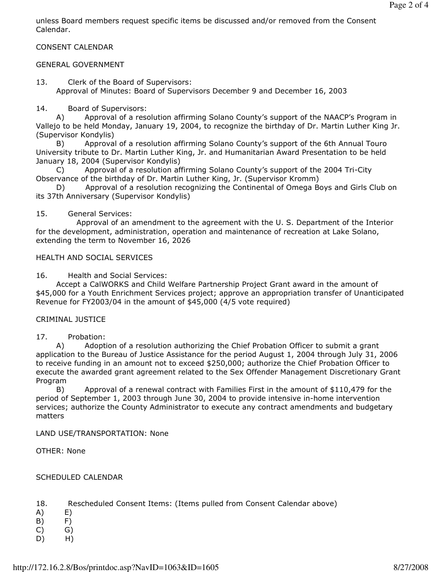unless Board members request specific items be discussed and/or removed from the Consent Calendar.

### CONSENT CALENDAR

### GENERAL GOVERNMENT

13. Clerk of the Board of Supervisors: Approval of Minutes: Board of Supervisors December 9 and December 16, 2003

#### 14. Board of Supervisors:

 A) Approval of a resolution affirming Solano County's support of the NAACP's Program in Vallejo to be held Monday, January 19, 2004, to recognize the birthday of Dr. Martin Luther King Jr. (Supervisor Kondylis)

 B) Approval of a resolution affirming Solano County's support of the 6th Annual Touro University tribute to Dr. Martin Luther King, Jr. and Humanitarian Award Presentation to be held January 18, 2004 (Supervisor Kondylis)

 C) Approval of a resolution affirming Solano County's support of the 2004 Tri-City Observance of the birthday of Dr. Martin Luther King, Jr. (Supervisor Kromm)

 D) Approval of a resolution recognizing the Continental of Omega Boys and Girls Club on its 37th Anniversary (Supervisor Kondylis)

15. General Services:

 Approval of an amendment to the agreement with the U. S. Department of the Interior for the development, administration, operation and maintenance of recreation at Lake Solano, extending the term to November 16, 2026

### HEALTH AND SOCIAL SERVICES

16. Health and Social Services:

 Accept a CalWORKS and Child Welfare Partnership Project Grant award in the amount of \$45,000 for a Youth Enrichment Services project; approve an appropriation transfer of Unanticipated Revenue for FY2003/04 in the amount of \$45,000 (4/5 vote required)

### CRIMINAL JUSTICE

17. Probation:

 A) Adoption of a resolution authorizing the Chief Probation Officer to submit a grant application to the Bureau of Justice Assistance for the period August 1, 2004 through July 31, 2006 to receive funding in an amount not to exceed \$250,000; authorize the Chief Probation Officer to execute the awarded grant agreement related to the Sex Offender Management Discretionary Grant Program

 B) Approval of a renewal contract with Families First in the amount of \$110,479 for the period of September 1, 2003 through June 30, 2004 to provide intensive in-home intervention services; authorize the County Administrator to execute any contract amendments and budgetary matters

LAND USE/TRANSPORTATION: None

OTHER: None

### SCHEDULED CALENDAR

- 18. Rescheduled Consent Items: (Items pulled from Consent Calendar above)
- A) E)
- B) F)
- $(C)$   $G)$
- D) H)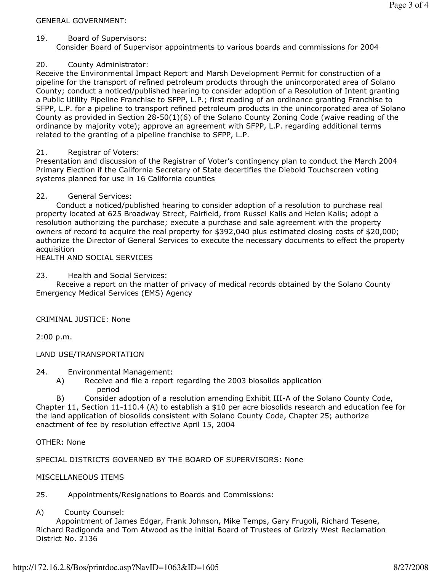### GENERAL GOVERNMENT:

### 19. Board of Supervisors:

Consider Board of Supervisor appointments to various boards and commissions for 2004

# 20. County Administrator:

Receive the Environmental Impact Report and Marsh Development Permit for construction of a pipeline for the transport of refined petroleum products through the unincorporated area of Solano County; conduct a noticed/published hearing to consider adoption of a Resolution of Intent granting a Public Utility Pipeline Franchise to SFPP, L.P.; first reading of an ordinance granting Franchise to SFPP, L.P. for a pipeline to transport refined petroleum products in the unincorporated area of Solano County as provided in Section 28-50(1)(6) of the Solano County Zoning Code (waive reading of the ordinance by majority vote); approve an agreement with SFPP, L.P. regarding additional terms related to the granting of a pipeline franchise to SFPP, L.P.

# 21. Registrar of Voters:

Presentation and discussion of the Registrar of Voter's contingency plan to conduct the March 2004 Primary Election if the California Secretary of State decertifies the Diebold Touchscreen voting systems planned for use in 16 California counties

## 22. General Services:

 Conduct a noticed/published hearing to consider adoption of a resolution to purchase real property located at 625 Broadway Street, Fairfield, from Russel Kalis and Helen Kalis; adopt a resolution authorizing the purchase; execute a purchase and sale agreement with the property owners of record to acquire the real property for \$392,040 plus estimated closing costs of \$20,000; authorize the Director of General Services to execute the necessary documents to effect the property acquisition

HEALTH AND SOCIAL SERVICES

23. Health and Social Services:

 Receive a report on the matter of privacy of medical records obtained by the Solano County Emergency Medical Services (EMS) Agency

# CRIMINAL JUSTICE: None

2:00 p.m.

### LAND USE/TRANSPORTATION

24. Environmental Management:

 A) Receive and file a report regarding the 2003 biosolids application period

 B) Consider adoption of a resolution amending Exhibit III-A of the Solano County Code, Chapter 11, Section 11-110.4 (A) to establish a \$10 per acre biosolids research and education fee for the land application of biosolids consistent with Solano County Code, Chapter 25; authorize enactment of fee by resolution effective April 15, 2004

OTHER: None

SPECIAL DISTRICTS GOVERNED BY THE BOARD OF SUPERVISORS: None

### MISCELLANEOUS ITEMS

25. Appointments/Resignations to Boards and Commissions:

### A) County Counsel:

 Appointment of James Edgar, Frank Johnson, Mike Temps, Gary Frugoli, Richard Tesene, Richard Radigonda and Tom Atwood as the initial Board of Trustees of Grizzly West Reclamation District No. 2136